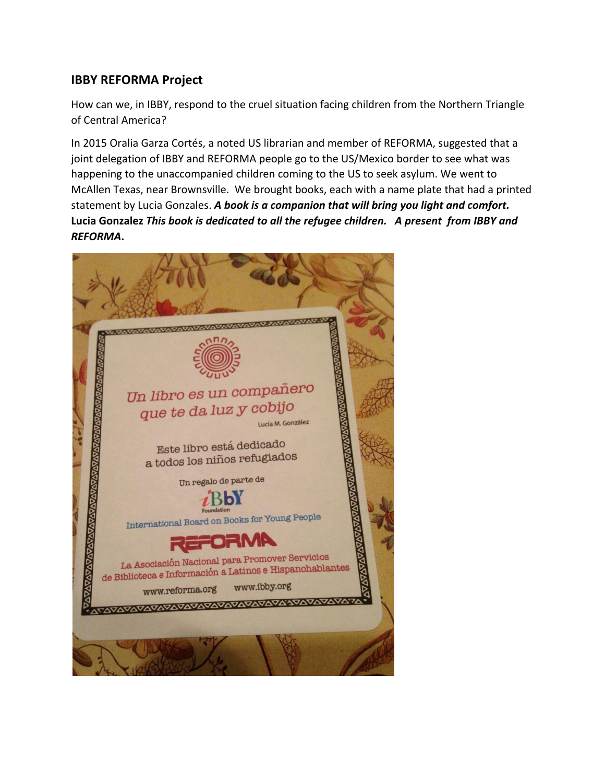## **IBBY REFORMA Project**

How can we, in IBBY, respond to the cruel situation facing children from the Northern Triangle of Central America?

In 2015 Oralia Garza Cortés, a noted US librarian and member of REFORMA, suggested that a joint delegation of IBBY and REFORMA people go to the US/Mexico border to see what was happening to the unaccompanied children coming to the US to seek asylum. We went to McAllen Texas, near Brownsville. We brought books, each with a name plate that had a printed statement by Lucia Gonzales. *A book is a companion that will bring you light and comfort.* **Lucia Gonzalez** *This book is dedicated to all the refugee children. A present from IBBY and REFORMA***.**

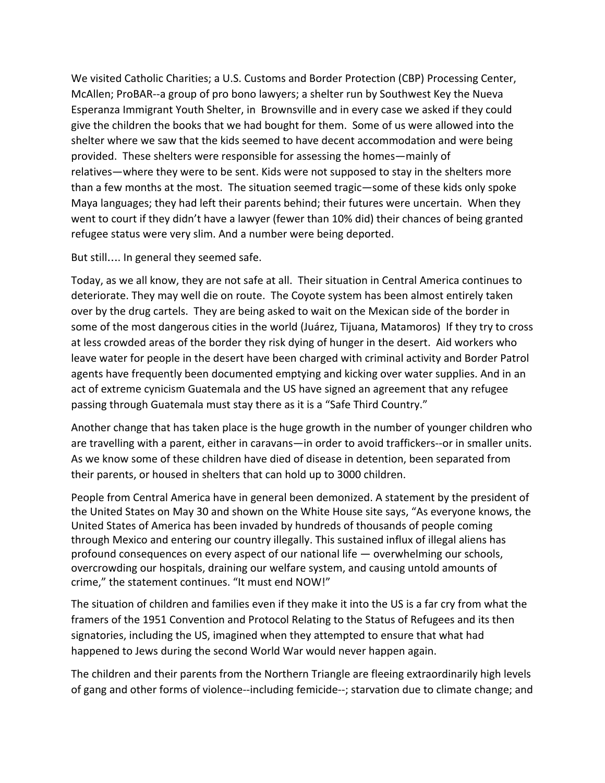We visited Catholic Charities; a U.S. Customs and Border Protection (CBP) Processing Center, McAllen; ProBAR--a group of pro bono lawyers; a shelter run by Southwest Key the Nueva Esperanza Immigrant Youth Shelter, in Brownsville and in every case we asked if they could give the children the books that we had bought for them. Some of us were allowed into the shelter where we saw that the kids seemed to have decent accommodation and were being provided. These shelters were responsible for assessing the homes—mainly of relatives—where they were to be sent. Kids were not supposed to stay in the shelters more than a few months at the most. The situation seemed tragic—some of these kids only spoke Maya languages; they had left their parents behind; their futures were uncertain. When they went to court if they didn't have a lawyer (fewer than 10% did) their chances of being granted refugee status were very slim. And a number were being deported.

But still…. In general they seemed safe.

Today, as we all know, they are not safe at all. Their situation in Central America continues to deteriorate. They may well die on route. The Coyote system has been almost entirely taken over by the drug cartels. They are being asked to wait on the Mexican side of the border in some of the most dangerous cities in the world (Juárez, Tijuana, Matamoros) If they try to cross at less crowded areas of the border they risk dying of hunger in the desert. Aid workers who leave water for people in the desert have been charged with criminal activity and Border Patrol agents have frequently been documented emptying and kicking over water supplies. And in an act of extreme cynicism Guatemala and the US have signed an agreement that any refugee passing through Guatemala must stay there as it is a "Safe Third Country."

Another change that has taken place is the huge growth in the number of younger children who are travelling with a parent, either in caravans—in order to avoid traffickers--or in smaller units. As we know some of these children have died of disease in detention, been separated from their parents, or housed in shelters that can hold up to 3000 children.

People from Central America have in general been demonized. A statement by the president of the United States on May 30 and shown on the White House site says, "As everyone knows, the United States of America has been invaded by hundreds of thousands of people coming through Mexico and entering our country illegally. This sustained influx of illegal aliens has profound consequences on every aspect of our national life — overwhelming our schools, overcrowding our hospitals, draining our welfare system, and causing untold amounts of crime," the statement continues. "It must end NOW!"

The situation of children and families even if they make it into the US is a far cry from what the framers of the 1951 Convention and Protocol Relating to the Status of Refugees and its then signatories, including the US, imagined when they attempted to ensure that what had happened to Jews during the second World War would never happen again.

The children and their parents from the Northern Triangle are fleeing extraordinarily high levels of gang and other forms of violence--including femicide--; starvation due to climate change; and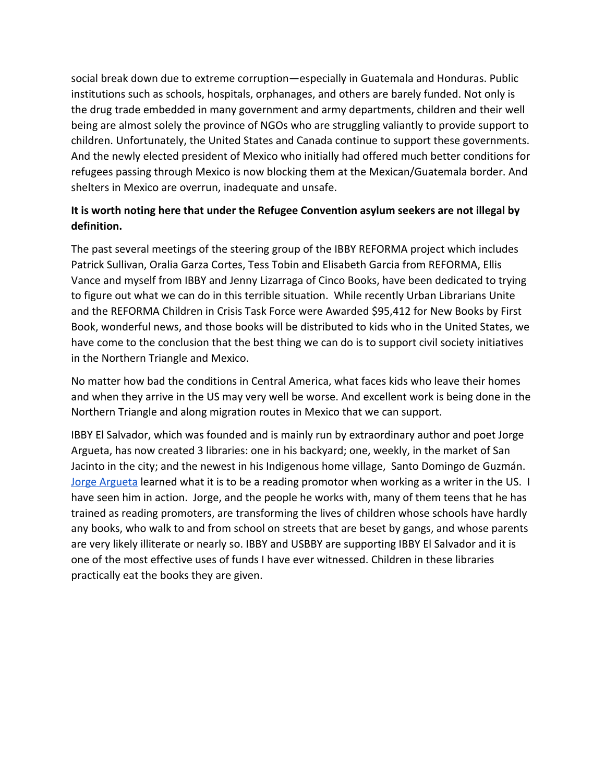social break down due to extreme corruption—especially in Guatemala and Honduras. Public institutions such as schools, hospitals, orphanages, and others are barely funded. Not only is the drug trade embedded in many government and army departments, children and their well being are almost solely the province of NGOs who are struggling valiantly to provide support to children. Unfortunately, the United States and Canada continue to support these governments. And the newly elected president of Mexico who initially had offered much better conditions for refugees passing through Mexico is now blocking them at the Mexican/Guatemala border. And shelters in Mexico are overrun, inadequate and unsafe.

## **It is worth noting here that under the Refugee Convention asylum seekers are not illegal by definition.**

The past several meetings of the steering group of the IBBY REFORMA project which includes Patrick Sullivan, Oralia Garza Cortes, Tess Tobin and Elisabeth Garcia from REFORMA, Ellis Vance and myself from IBBY and Jenny Lizarraga of Cinco Books, have been dedicated to trying to figure out what we can do in this terrible situation. While recently Urban Librarians Unite and the REFORMA Children in Crisis Task Force were Awarded \$95,412 for New Books by First Book, wonderful news, and those books will be distributed to kids who in the United States, we have come to the conclusion that the best thing we can do is to support civil society initiatives in the Northern Triangle and Mexico.

No matter how bad the conditions in Central America, what faces kids who leave their homes and when they arrive in the US may very well be worse. And excellent work is being done in the Northern Triangle and along migration routes in Mexico that we can support.

IBBY El Salvador, which was founded and is mainly run by extraordinary author and poet Jorge Argueta, has now created 3 libraries: one in his backyard; one, weekly, in the market of San Jacinto in the city; and the newest in his Indigenous home village, Santo Domingo de Guzmán. [Jorge Argueta](https://www.booklistonline.com/Books-and-Authors-Talking-with-Jorge-Argueta/pid=6494440?AspxAutoDetectCookieSupport=1) learned what it is to be a reading promotor when working as a writer in the US. I have seen him in action. Jorge, and the people he works with, many of them teens that he has trained as reading promoters, are transforming the lives of children whose schools have hardly any books, who walk to and from school on streets that are beset by gangs, and whose parents are very likely illiterate or nearly so. IBBY and USBBY are supporting IBBY El Salvador and it is one of the most effective uses of funds I have ever witnessed. Children in these libraries practically eat the books they are given.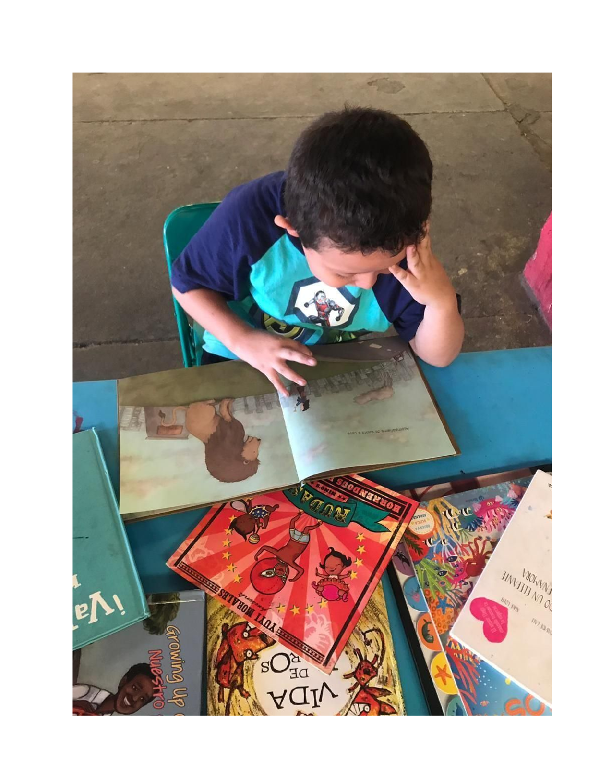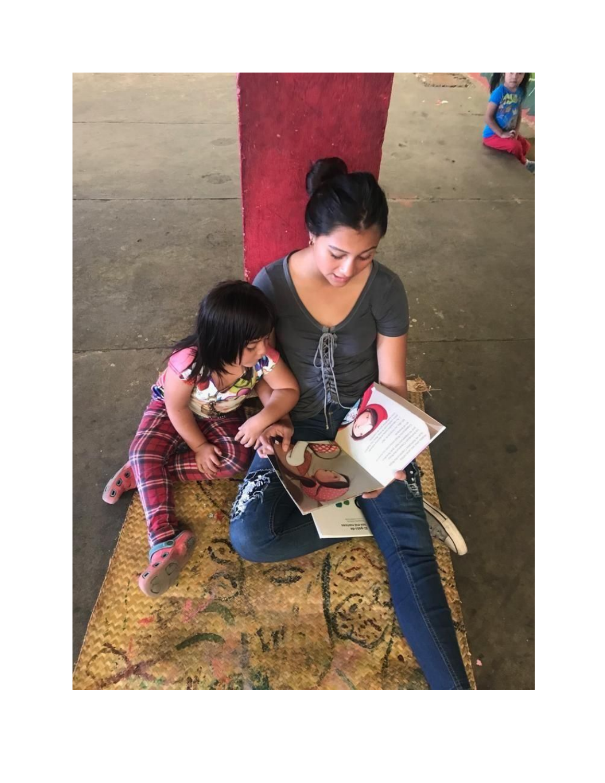